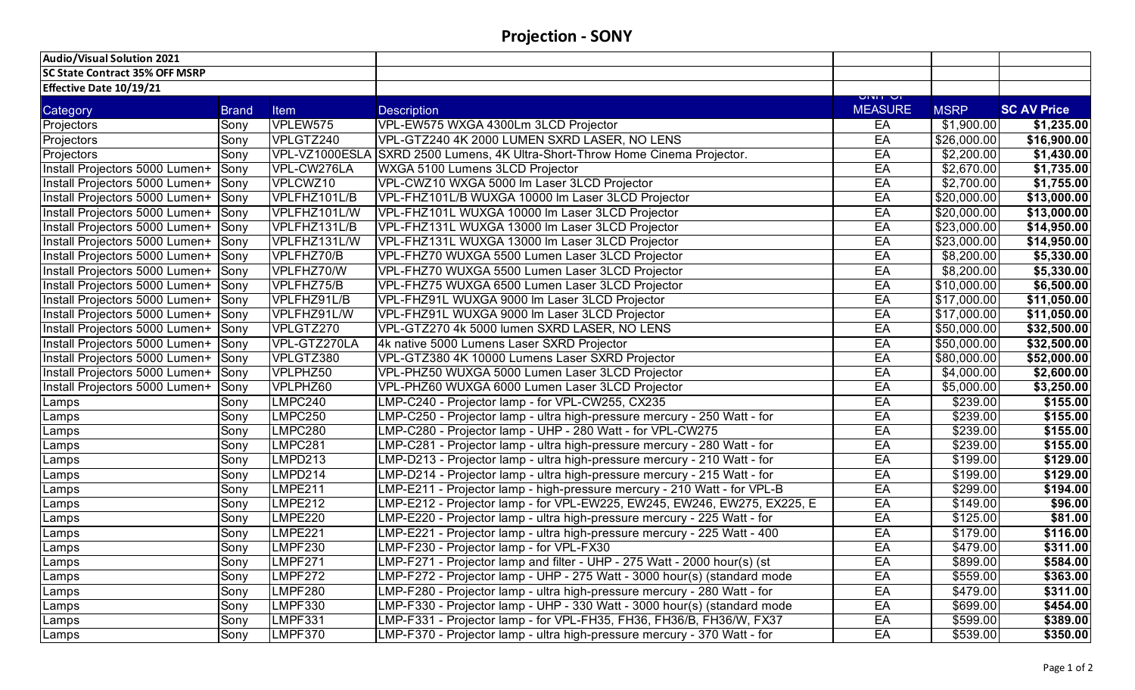| <b>Audio/Visual Solution 2021</b>     |              |                |                                                                          |                            |             |                    |
|---------------------------------------|--------------|----------------|--------------------------------------------------------------------------|----------------------------|-------------|--------------------|
| <b>SC State Contract 35% OFF MSRP</b> |              |                |                                                                          |                            |             |                    |
| Effective Date 10/19/21               |              |                |                                                                          |                            |             |                    |
| Category                              | <b>Brand</b> | Item           | <b>Description</b>                                                       | וט וויוט<br><b>MEASURE</b> | <b>MSRP</b> | <b>SC AV Price</b> |
| Projectors                            | Sony         | VPLEW575       | VPL-EW575 WXGA 4300Lm 3LCD Projector                                     | EA                         | \$1,900.00  | \$1,235.00         |
| Projectors                            | Sony         | VPLGTZ240      | VPL-GTZ240 4K 2000 LUMEN SXRD LASER, NO LENS                             | EA                         | \$26,000.00 | \$16,900.00        |
| Projectors                            | Sony         | VPL-VZ1000ESLA | SXRD 2500 Lumens, 4K Ultra-Short-Throw Home Cinema Projector.            | EA                         | \$2,200.00  | \$1,430.00         |
| Install Projectors 5000 Lumen+        | Sony         | VPL-CW276LA    | <b>WXGA 5100 Lumens 3LCD Projector</b>                                   | EA                         | \$2,670.00  | \$1,735.00         |
| Install Projectors 5000 Lumen+        | Sony         | VPLCWZ10       | VPL-CWZ10 WXGA 5000 Im Laser 3LCD Projector                              | EA                         | \$2,700.00  | \$1,755.00         |
| Install Projectors 5000 Lumen+ Sony   |              | VPLFHZ101L/B   | VPL-FHZ101L/B WUXGA 10000 Im Laser 3LCD Projector                        | EA                         | \$20,000.00 | \$13,000.00        |
| Install Projectors 5000 Lumen+ Sony   |              | VPLFHZ101L/W   | VPL-FHZ101L WUXGA 10000 Im Laser 3LCD Projector                          | EA                         | \$20,000.00 | \$13,000.00        |
| Install Projectors 5000 Lumen+ Sony   |              | VPLFHZ131L/B   | VPL-FHZ131L WUXGA 13000 Im Laser 3LCD Projector                          | EA                         | \$23,000.00 | \$14,950.00        |
| Install Projectors 5000 Lumen+ Sony   |              | VPLFHZ131L/W   | VPL-FHZ131L WUXGA 13000 Im Laser 3LCD Projector                          | EA                         | \$23,000.00 | \$14,950.00        |
| Install Projectors 5000 Lumen+        | Sony         | VPLFHZ70/B     | VPL-FHZ70 WUXGA 5500 Lumen Laser 3LCD Projector                          | EA                         | \$8,200.00  | \$5,330.00         |
| Install Projectors 5000 Lumen+        | Sony         | VPLFHZ70/W     | VPL-FHZ70 WUXGA 5500 Lumen Laser 3LCD Projector                          | EA                         | \$8,200.00  | \$5,330.00         |
| Install Projectors 5000 Lumen+        | Sony         | VPLFHZ75/B     | VPL-FHZ75 WUXGA 6500 Lumen Laser 3LCD Projector                          | EA                         | \$10,000.00 | \$6,500.00         |
| Install Projectors 5000 Lumen+ Sony   |              | VPLFHZ91L/B    | VPL-FHZ91L WUXGA 9000 Im Laser 3LCD Projector                            | EA                         | \$17,000.00 | \$11,050.00        |
| Install Projectors 5000 Lumen+ Sony   |              | VPLFHZ91L/W    | VPL-FHZ91L WUXGA 9000 Im Laser 3LCD Projector                            | EA                         | \$17,000.00 | \$11,050.00        |
| Install Projectors 5000 Lumen+ Sony   |              | VPLGTZ270      | VPL-GTZ270 4k 5000 lumen SXRD LASER, NO LENS                             | EA                         | \$50,000.00 | \$32,500.00        |
| Install Projectors 5000 Lumen+ Sony   |              | VPL-GTZ270LA   | 4k native 5000 Lumens Laser SXRD Projector                               | EA                         | \$50,000.00 | \$32,500.00        |
| Install Projectors 5000 Lumen+        | Sony         | VPLGTZ380      | VPL-GTZ380 4K 10000 Lumens Laser SXRD Projector                          | EA                         | \$80,000.00 | \$52,000.00        |
| Install Projectors 5000 Lumen+        | Sony         | VPLPHZ50       | VPL-PHZ50 WUXGA 5000 Lumen Laser 3LCD Projector                          | EA                         | \$4,000.00  | \$2,600.00         |
| Install Projectors 5000 Lumen+        | Sony         | VPLPHZ60       | VPL-PHZ60 WUXGA 6000 Lumen Laser 3LCD Projector                          | EA                         | \$5,000.00  | \$3,250.00         |
| Lamps                                 | Sony         | LMPC240        | LMP-C240 - Projector lamp - for VPL-CW255, CX235                         | EA                         | \$239.00    | \$155.00           |
| Lamps                                 | Sony         | LMPC250        | LMP-C250 - Projector lamp - ultra high-pressure mercury - 250 Watt - for | EA                         | \$239.00    | \$155.00           |
| Lamps                                 | Sony         | LMPC280        | LMP-C280 - Projector lamp - UHP - 280 Watt - for VPL-CW275               | EA                         | \$239.00    | \$155.00           |
| Lamps                                 | Sony         | LMPC281        | LMP-C281 - Projector lamp - ultra high-pressure mercury - 280 Watt - for | EA                         | \$239.00    | \$155.00           |
| Lamps                                 | Sony         | LMPD213        | LMP-D213 - Projector lamp - ultra high-pressure mercury - 210 Watt - for | EA                         | \$199.00    | \$129.00           |
| Lamps                                 | Sony         | LMPD214        | LMP-D214 - Projector lamp - ultra high-pressure mercury - 215 Watt - for | EA                         | \$199.00    | \$129.00           |
| Lamps                                 | Sony         | LMPE211        | LMP-E211 - Projector lamp - high-pressure mercury - 210 Watt - for VPL-B | EA                         | \$299.00    | \$194.00           |
| Lamps                                 | Sony         | LMPE212        | LMP-E212 - Projector lamp - for VPL-EW225, EW245, EW246, EW275, EX225, E | EA                         | \$149.00    | \$96.00            |
| Lamps                                 | Sony         | LMPE220        | LMP-E220 - Projector lamp - ultra high-pressure mercury - 225 Watt - for | EA                         | \$125.00    | \$81.00            |
| Lamps                                 | Sony         | LMPE221        | LMP-E221 - Projector lamp - ultra high-pressure mercury - 225 Watt - 400 | EA                         | \$179.00    | \$116.00           |
| Lamps                                 | Sony         | LMPF230        | LMP-F230 - Projector lamp - for VPL-FX30                                 | EA                         | \$479.00    | \$311.00           |
| Lamps                                 | Sony         | LMPF271        | LMP-F271 - Projector lamp and filter - UHP - 275 Watt - 2000 hour(s) (st | EA                         | \$899.00    | \$584.00           |
| Lamps                                 | Sony         | LMPF272        | LMP-F272 - Projector lamp - UHP - 275 Watt - 3000 hour(s) (standard mode | EA                         | \$559.00    | \$363.00           |
| Lamps                                 | Sony         | LMPF280        | LMP-F280 - Projector lamp - ultra high-pressure mercury - 280 Watt - for | EA                         | \$479.00    | $\sqrt{3311.00}$   |
| Lamps                                 | Sony         | LMPF330        | LMP-F330 - Projector lamp - UHP - 330 Watt - 3000 hour(s) (standard mode | EA                         | \$699.00    | \$454.00           |
| Lamps                                 | Sony         | LMPF331        | LMP-F331 - Projector lamp - for VPL-FH35, FH36, FH36/B, FH36/W, FX37     | EA                         | \$599.00    | \$389.00           |
| Lamps                                 | Sony         | LMPF370        | LMP-F370 - Projector lamp - ultra high-pressure mercury - 370 Watt - for | EA                         | \$539.00    | \$350.00           |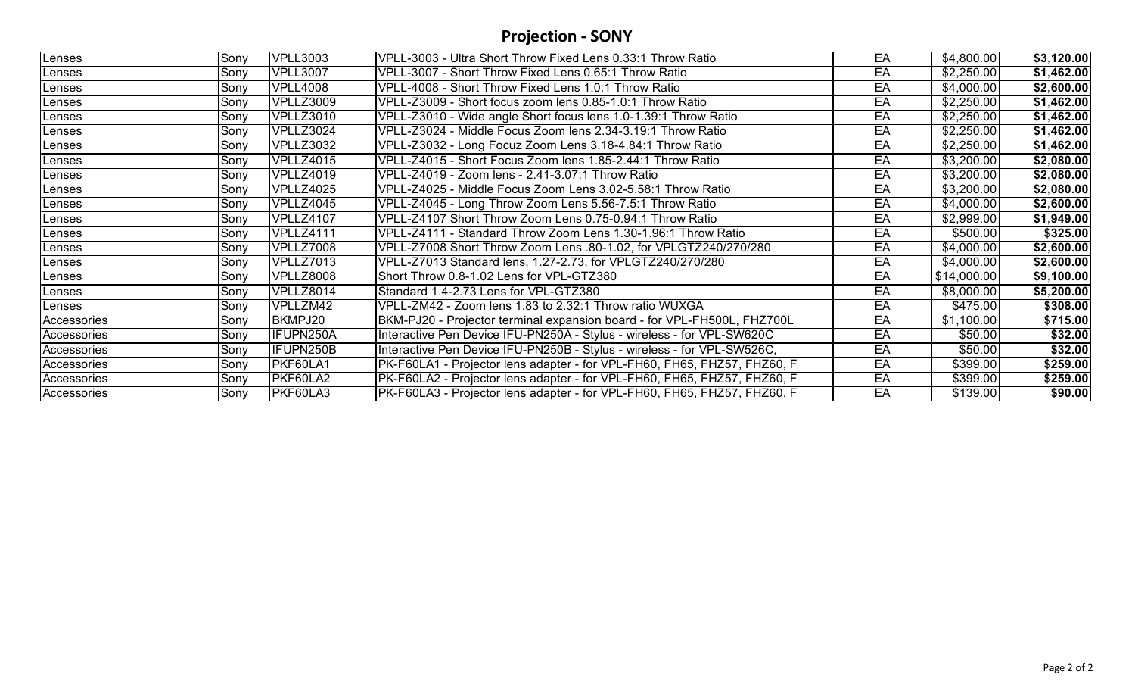## **Projection - SONY**

| <b>Lenses</b> | Sony | <b>VPLL3003</b> | VPLL-3003 - Ultra Short Throw Fixed Lens 0.33:1 Throw Ratio              | EA | \$4,800.00           | \$3,120.00 |
|---------------|------|-----------------|--------------------------------------------------------------------------|----|----------------------|------------|
| Lenses        | Sony | <b>VPLL3007</b> | VPLL-3007 - Short Throw Fixed Lens 0.65:1 Throw Ratio                    | EA | \$2,250.00           | \$1,462.00 |
| _enses        | Sony | <b>VPLL4008</b> | VPLL-4008 - Short Throw Fixed Lens 1.0:1 Throw Ratio                     | EA | \$4,000.00           | \$2,600.00 |
| Lenses        | Sony | VPLLZ3009       | VPLL-Z3009 - Short focus zoom lens 0.85-1.0:1 Throw Ratio                | EA | \$2,250.00           | \$1,462.00 |
| Lenses        | Sony | VPLLZ3010       | VPLL-Z3010 - Wide angle Short focus lens 1.0-1.39:1 Throw Ratio          | EA | \$2,250.00           | \$1,462.00 |
| <b>Lenses</b> | Sony | VPLLZ3024       | VPLL-Z3024 - Middle Focus Zoom lens 2.34-3.19:1 Throw Ratio              | EA | \$2,250.00           | \$1,462.00 |
| <b>Lenses</b> | Sony | VPLLZ3032       | VPLL-Z3032 - Long Focuz Zoom Lens 3.18-4.84:1 Throw Ratio                | EA | \$2,250.00           | \$1,462.00 |
| _enses        | Sony | VPLLZ4015       | VPLL-Z4015 - Short Focus Zoom lens 1.85-2.44:1 Throw Ratio               | EA | \$3,200.00           | \$2,080.00 |
| enses         | Sony | VPLLZ4019       | VPLL-Z4019 - Zoom lens - 2.41-3.07:1 Throw Ratio                         | EA | \$3,200.00           | \$2,080.00 |
| <b>Lenses</b> | Sony | VPLLZ4025       | VPLL-Z4025 - Middle Focus Zoom Lens 3.02-5.58:1 Throw Ratio              | EA | \$3,200.00           | \$2,080.00 |
| enses         | Sony | VPLLZ4045       | VPLL-Z4045 - Long Throw Zoom Lens 5.56-7.5:1 Throw Ratio                 | EA | \$4,000.00           | \$2,600.00 |
| <b>Lenses</b> | Sony | VPLLZ4107       | VPLL-Z4107 Short Throw Zoom Lens 0.75-0.94:1 Throw Ratio                 | EA | \$2,999.00           | \$1,949.00 |
| _enses        | Sony | VPLLZ4111       | VPLL-Z4111 - Standard Throw Zoom Lens 1.30-1.96:1 Throw Ratio            | EA | \$500.00             | \$325.00   |
| _enses        | Sony | VPLLZ7008       | VPLL-Z7008 Short Throw Zoom Lens .80-1.02, for VPLGTZ240/270/280         | EA | \$4,000.00           | \$2,600.00 |
| _enses        | Sony | VPLLZ7013       | VPLL-Z7013 Standard lens, 1.27-2.73, for VPLGTZ240/270/280               | EA | \$4,000.00           | \$2,600.00 |
| _enses        | Sony | VPLLZ8008       | Short Throw 0.8-1.02 Lens for VPL-GTZ380                                 | EA | \$14,000.00          | \$9,100.00 |
| <b>Lenses</b> | Sony | VPLLZ8014       | Standard 1.4-2.73 Lens for VPL-GTZ380                                    | EA | \$8,000.00           | \$5,200.00 |
| <b>Lenses</b> | Sony | VPLLZM42        | VPLL-ZM42 - Zoom lens 1.83 to 2.32:1 Throw ratio WUXGA                   | EA | \$475.00             | \$308.00   |
| Accessories   | Sony | BKMPJ20         | BKM-PJ20 - Projector terminal expansion board - for VPL-FH500L, FHZ700L  | EA | \$1,100.00           | \$715.00   |
| Accessories   | Sony | IFUPN250A       | Interactive Pen Device IFU-PN250A - Stylus - wireless - for VPL-SW620C   | EA | \$50.00              | \$32.00    |
| Accessories   | Sony | IFUPN250B       | Interactive Pen Device IFU-PN250B - Stylus - wireless - for VPL-SW526C,  | EA | \$50.00              | \$32.00    |
| Accessories   | Sony | PKF60LA1        | PK-F60LA1 - Projector lens adapter - for VPL-FH60, FH65, FHZ57, FHZ60, F | EA | $\overline{$}399.00$ | \$259.00   |
| Accessories   | Sony | PKF60LA2        | PK-F60LA2 - Projector lens adapter - for VPL-FH60, FH65, FHZ57, FHZ60, F | EA | \$399.00             | \$259.00   |
| Accessories   | Sony | PKF60LA3        | PK-F60LA3 - Projector lens adapter - for VPL-FH60, FH65, FHZ57, FHZ60, F | EA | \$139.00             | \$90.00    |
|               |      |                 |                                                                          |    |                      |            |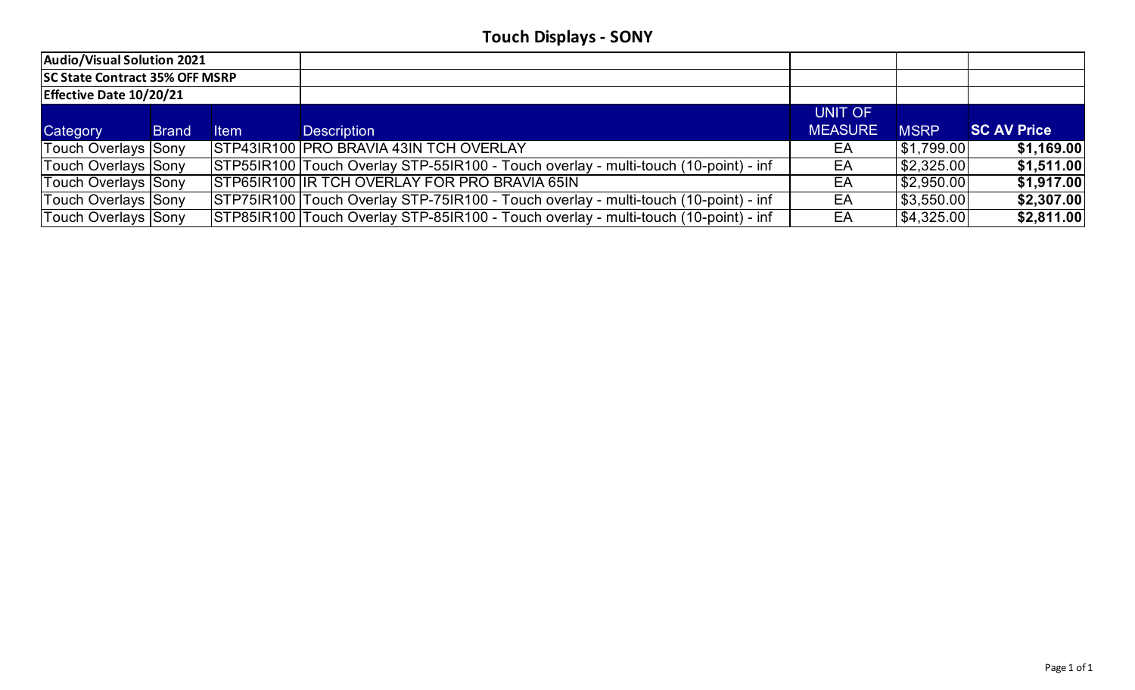**Touch Displays - SONY**

| Audio/Visual Solution 2021            |              |             |                                                                                     |                |             |                    |
|---------------------------------------|--------------|-------------|-------------------------------------------------------------------------------------|----------------|-------------|--------------------|
| <b>SC State Contract 35% OFF MSRP</b> |              |             |                                                                                     |                |             |                    |
| <b>Effective Date 10/20/21</b>        |              |             |                                                                                     |                |             |                    |
|                                       |              |             |                                                                                     | <b>UNIT OF</b> |             |                    |
| Category                              | <b>Brand</b> | <b>Item</b> | <b>Description</b>                                                                  | <b>MEASURE</b> | <b>MSRP</b> | <b>SC AV Price</b> |
| <b>Touch Overlays Sony</b>            |              |             | STP43IR100 PRO BRAVIA 43IN TCH OVERLAY                                              | EA             | \$1,799.00  | \$1,169.00         |
| <b>Touch Overlays Sony</b>            |              |             | STP55IR100 Touch Overlay STP-55IR100 - Touch overlay - multi-touch (10-point) - inf | EA             | \$2,325.00  | \$1,511.00         |
| <b>Touch Overlays Sony</b>            |              |             | STP65IR100 IR TCH OVERLAY FOR PRO BRAVIA 65IN                                       | EA             | \$2,950.00  | \$1,917.00         |
| <b>Touch Overlays Sony</b>            |              |             | STP75IR100 Touch Overlay STP-75IR100 - Touch overlay - multi-touch (10-point) - inf | EA             | \$3,550.00  | \$2,307.00         |
| <b>Touch Overlays Sony</b>            |              |             | STP85IR100 Touch Overlay STP-85IR100 - Touch overlay - multi-touch (10-point) - inf | EA             | \$4,325.00  | \$2,811.00         |